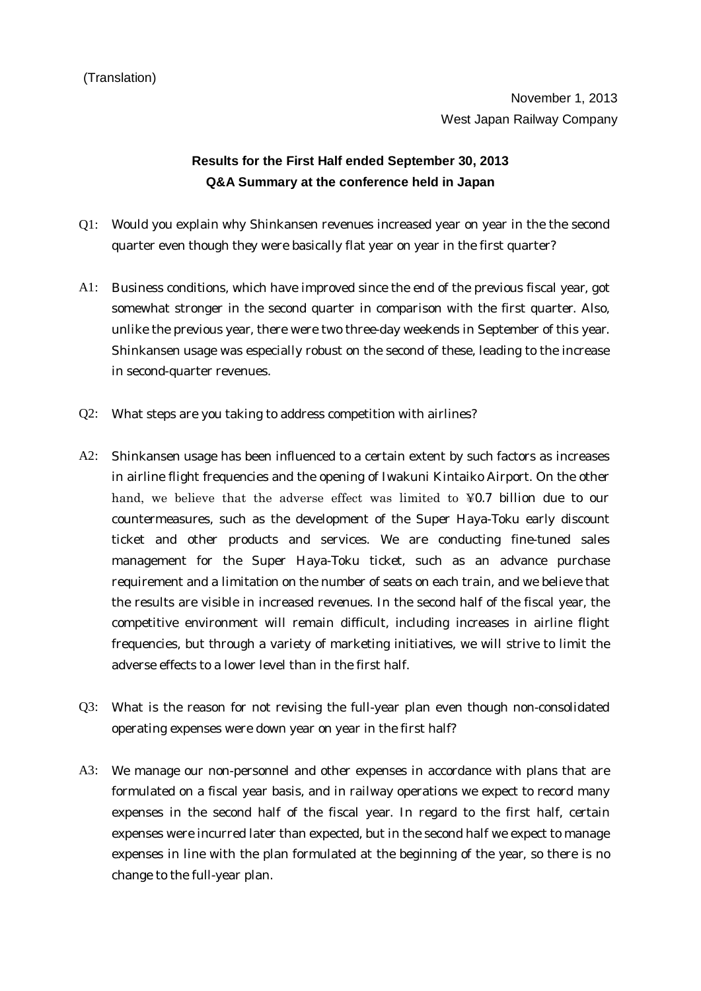## **Results for the First Half ended September 30, 2013 Q&A Summary at the conference held in Japan**

- Q1: Would you explain why Shinkansen revenues increased year on year in the the second quarter even though they were basically flat year on year in the first quarter?
- A1: Business conditions, which have improved since the end of the previous fiscal year, got somewhat stronger in the second quarter in comparison with the first quarter. Also, unlike the previous year, there were two three-day weekends in September of this year. Shinkansen usage was especially robust on the second of these, leading to the increase in second-quarter revenues.
- Q2: What steps are you taking to address competition with airlines?
- A2: Shinkansen usage has been influenced to a certain extent by such factors as increases in airline flight frequencies and the opening of Iwakuni Kintaiko Airport. On the other hand, we believe that the adverse effect was limited to ¥0.7 billion due to our countermeasures, such as the development of the Super Haya-Toku early discount ticket and other products and services. We are conducting fine-tuned sales management for the Super Haya-Toku ticket, such as an advance purchase requirement and a limitation on the number of seats on each train, and we believe that the results are visible in increased revenues. In the second half of the fiscal year, the competitive environment will remain difficult, including increases in airline flight frequencies, but through a variety of marketing initiatives, we will strive to limit the adverse effects to a lower level than in the first half.
- Q3: What is the reason for not revising the full-year plan even though non-consolidated operating expenses were down year on year in the first half?
- A3: We manage our non-personnel and other expenses in accordance with plans that are formulated on a fiscal year basis, and in railway operations we expect to record many expenses in the second half of the fiscal year. In regard to the first half, certain expenses were incurred later than expected, but in the second half we expect to manage expenses in line with the plan formulated at the beginning of the year, so there is no change to the full-year plan.